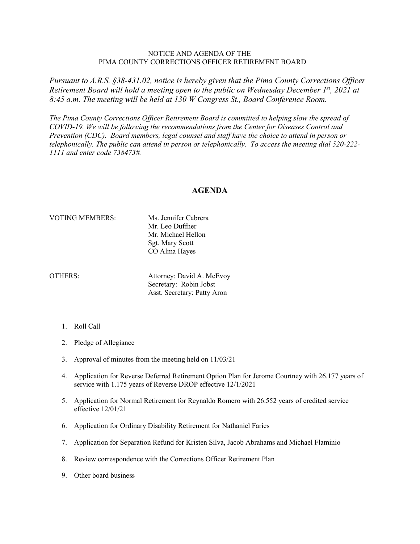## NOTICE AND AGENDA OF THE PIMA COUNTY CORRECTIONS OFFICER RETIREMENT BOARD

*Pursuant to A.R.S. §38-431.02, notice is hereby given that the Pima County Corrections Officer Retirement Board will hold a meeting open to the public on Wednesday December 1st, 2021 at 8:45 a.m. The meeting will be held at 130 W Congress St., Board Conference Room.* 

*The Pima County Corrections Officer Retirement Board is committed to helping slow the spread of COVID-19. We will be following the recommendations from the Center for Diseases Control and Prevention (CDC). Board members, legal counsel and staff have the choice to attend in person or telephonically. The public can attend in person or telephonically. To access the meeting dial 520-222- 1111 and enter code 738473#.*

## **AGENDA**

## VOTING MEMBERS: Ms. Jennifer Cabrera

Mr. Leo Duffner Mr. Michael Hellon Sgt. Mary Scott CO Alma Hayes

OTHERS: Attorney: David A. McEvoy Secretary: Robin Jobst Asst. Secretary: Patty Aron

- 1. Roll Call
- 2. Pledge of Allegiance
- 3. Approval of minutes from the meeting held on 11/03/21
- 4. Application for Reverse Deferred Retirement Option Plan for Jerome Courtney with 26.177 years of service with 1.175 years of Reverse DROP effective 12/1/2021
- 5. Application for Normal Retirement for Reynaldo Romero with 26.552 years of credited service effective 12/01/21
- 6. Application for Ordinary Disability Retirement for Nathaniel Faries
- 7. Application for Separation Refund for Kristen Silva, Jacob Abrahams and Michael Flaminio
- 8. Review correspondence with the Corrections Officer Retirement Plan
- 9. Other board business